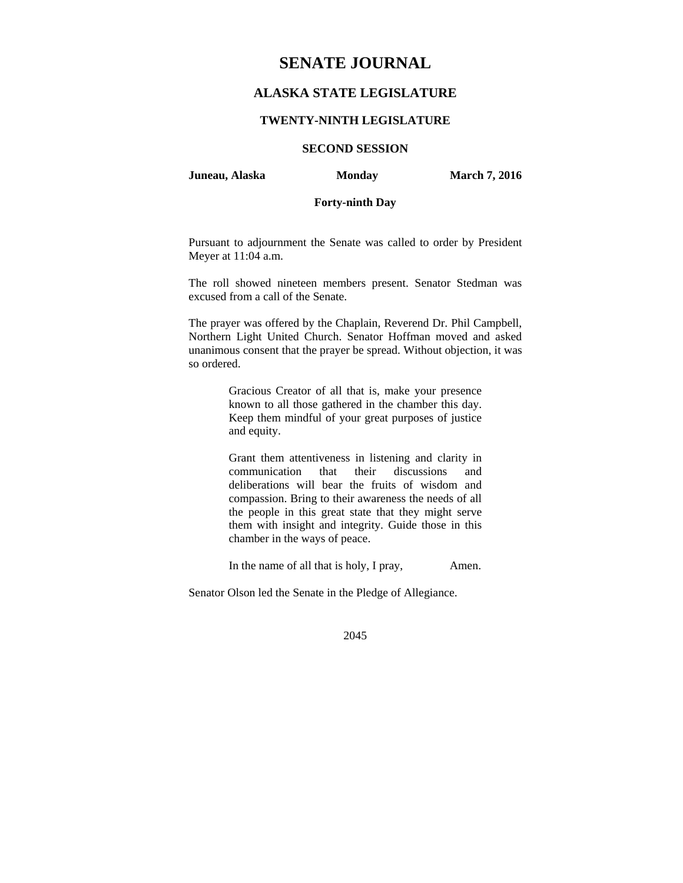# **SENATE JOURNAL**

# **ALASKA STATE LEGISLATURE**

## **TWENTY-NINTH LEGISLATURE**

# **SECOND SESSION**

**Juneau, Alaska** Monday **March 7, 2016** 

# **Forty-ninth Day**

Pursuant to adjournment the Senate was called to order by President Meyer at 11:04 a.m.

The roll showed nineteen members present. Senator Stedman was excused from a call of the Senate.

The prayer was offered by the Chaplain, Reverend Dr. Phil Campbell, Northern Light United Church. Senator Hoffman moved and asked unanimous consent that the prayer be spread. Without objection, it was so ordered.

> Gracious Creator of all that is, make your presence known to all those gathered in the chamber this day. Keep them mindful of your great purposes of justice and equity.

> Grant them attentiveness in listening and clarity in communication that their discussions and deliberations will bear the fruits of wisdom and compassion. Bring to their awareness the needs of all the people in this great state that they might serve them with insight and integrity. Guide those in this chamber in the ways of peace.

> In the name of all that is holy, I pray, Amen.

Senator Olson led the Senate in the Pledge of Allegiance.

2045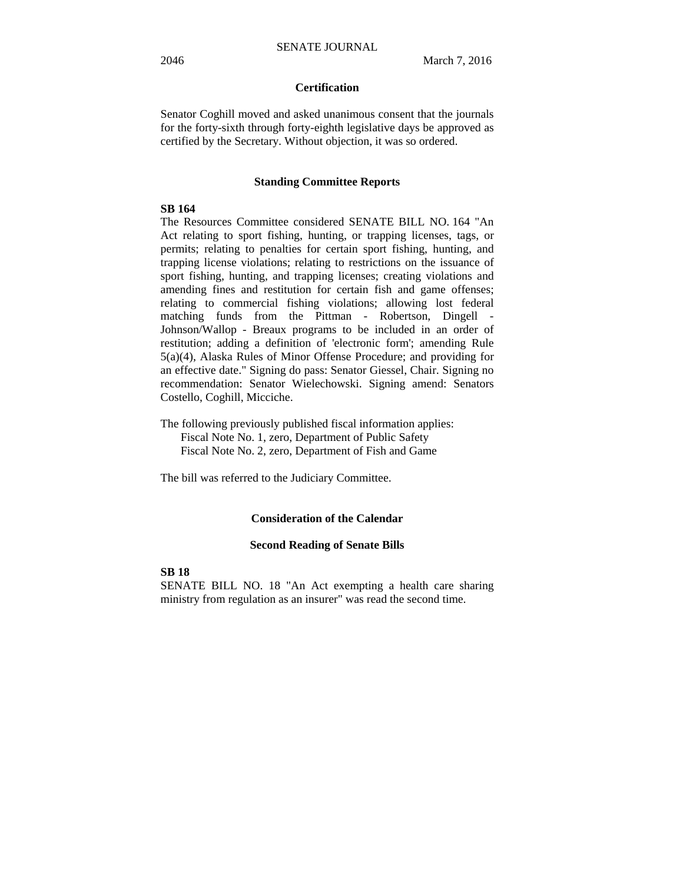# **Certification**

Senator Coghill moved and asked unanimous consent that the journals for the forty-sixth through forty-eighth legislative days be approved as certified by the Secretary. Without objection, it was so ordered.

#### **Standing Committee Reports**

## **SB 164**

The Resources Committee considered SENATE BILL NO. 164 "An Act relating to sport fishing, hunting, or trapping licenses, tags, or permits; relating to penalties for certain sport fishing, hunting, and trapping license violations; relating to restrictions on the issuance of sport fishing, hunting, and trapping licenses; creating violations and amending fines and restitution for certain fish and game offenses; relating to commercial fishing violations; allowing lost federal matching funds from the Pittman - Robertson, Dingell - Johnson/Wallop - Breaux programs to be included in an order of restitution; adding a definition of 'electronic form'; amending Rule 5(a)(4), Alaska Rules of Minor Offense Procedure; and providing for an effective date." Signing do pass: Senator Giessel, Chair. Signing no recommendation: Senator Wielechowski. Signing amend: Senators Costello, Coghill, Micciche.

The following previously published fiscal information applies: Fiscal Note No. 1, zero, Department of Public Safety Fiscal Note No. 2, zero, Department of Fish and Game

The bill was referred to the Judiciary Committee.

#### **Consideration of the Calendar**

#### **Second Reading of Senate Bills**

**SB 18**

SENATE BILL NO. 18 "An Act exempting a health care sharing ministry from regulation as an insurer" was read the second time.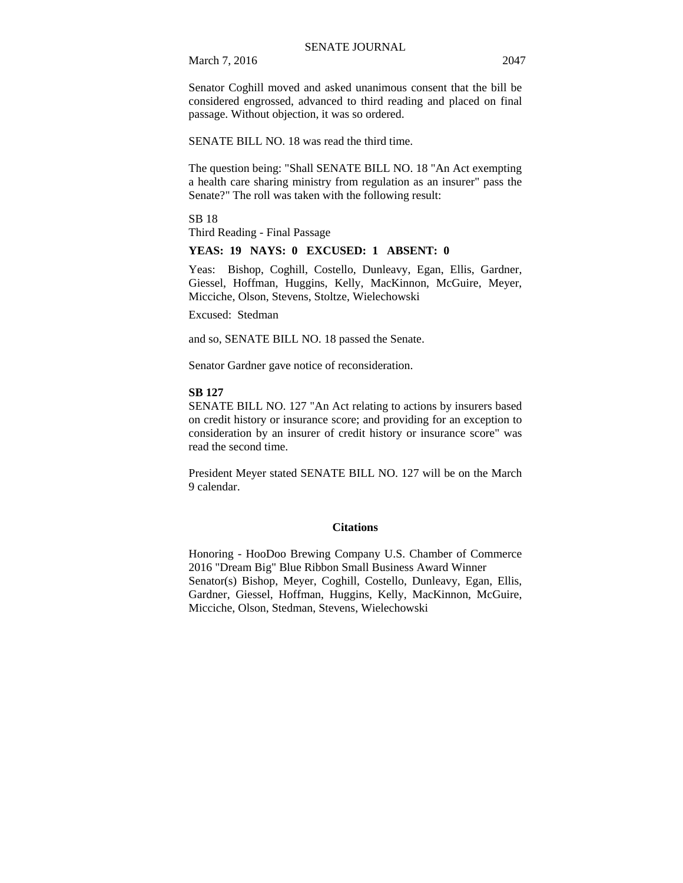March 7, 2016 2047

Senator Coghill moved and asked unanimous consent that the bill be considered engrossed, advanced to third reading and placed on final passage. Without objection, it was so ordered.

SENATE BILL NO. 18 was read the third time.

The question being: "Shall SENATE BILL NO. 18 "An Act exempting a health care sharing ministry from regulation as an insurer" pass the Senate?" The roll was taken with the following result:

SB 18 Third Reading - Final Passage

## **YEAS: 19 NAYS: 0 EXCUSED: 1 ABSENT: 0**

Yeas: Bishop, Coghill, Costello, Dunleavy, Egan, Ellis, Gardner, Giessel, Hoffman, Huggins, Kelly, MacKinnon, McGuire, Meyer, Micciche, Olson, Stevens, Stoltze, Wielechowski

Excused: Stedman

and so, SENATE BILL NO. 18 passed the Senate.

Senator Gardner gave notice of reconsideration.

#### **SB 127**

SENATE BILL NO. 127 "An Act relating to actions by insurers based on credit history or insurance score; and providing for an exception to consideration by an insurer of credit history or insurance score" was read the second time.

President Meyer stated SENATE BILL NO. 127 will be on the March 9 calendar.

#### **Citations**

Honoring - HooDoo Brewing Company U.S. Chamber of Commerce 2016 "Dream Big" Blue Ribbon Small Business Award Winner Senator(s) Bishop, Meyer, Coghill, Costello, Dunleavy, Egan, Ellis, Gardner, Giessel, Hoffman, Huggins, Kelly, MacKinnon, McGuire, Micciche, Olson, Stedman, Stevens, Wielechowski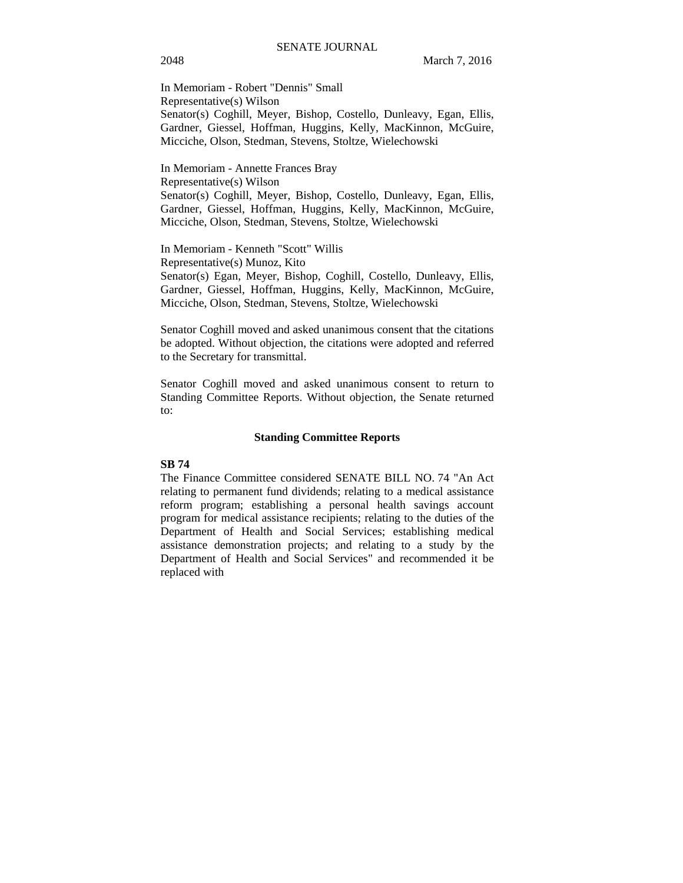In Memoriam - Robert "Dennis" Small Representative(s) Wilson Senator(s) Coghill, Meyer, Bishop, Costello, Dunleavy, Egan, Ellis, Gardner, Giessel, Hoffman, Huggins, Kelly, MacKinnon, McGuire, Micciche, Olson, Stedman, Stevens, Stoltze, Wielechowski

In Memoriam - Annette Frances Bray Representative(s) Wilson Senator(s) Coghill, Meyer, Bishop, Costello, Dunleavy, Egan, Ellis, Gardner, Giessel, Hoffman, Huggins, Kelly, MacKinnon, McGuire, Micciche, Olson, Stedman, Stevens, Stoltze, Wielechowski

In Memoriam - Kenneth "Scott" Willis Representative(s) Munoz, Kito Senator(s) Egan, Meyer, Bishop, Coghill, Costello, Dunleavy, Ellis, Gardner, Giessel, Hoffman, Huggins, Kelly, MacKinnon, McGuire, Micciche, Olson, Stedman, Stevens, Stoltze, Wielechowski

Senator Coghill moved and asked unanimous consent that the citations be adopted. Without objection, the citations were adopted and referred to the Secretary for transmittal.

Senator Coghill moved and asked unanimous consent to return to Standing Committee Reports. Without objection, the Senate returned to:

#### **Standing Committee Reports**

## **SB 74**

The Finance Committee considered SENATE BILL NO. 74 "An Act relating to permanent fund dividends; relating to a medical assistance reform program; establishing a personal health savings account program for medical assistance recipients; relating to the duties of the Department of Health and Social Services; establishing medical assistance demonstration projects; and relating to a study by the Department of Health and Social Services" and recommended it be replaced with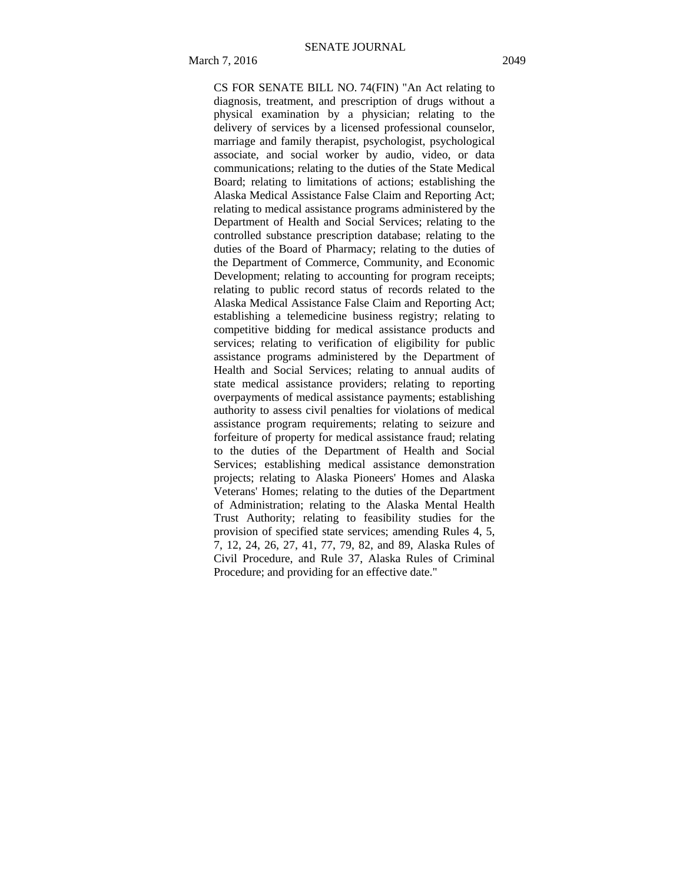CS FOR SENATE BILL NO. 74(FIN) "An Act relating to diagnosis, treatment, and prescription of drugs without a physical examination by a physician; relating to the delivery of services by a licensed professional counselor, marriage and family therapist, psychologist, psychological associate, and social worker by audio, video, or data communications; relating to the duties of the State Medical Board; relating to limitations of actions; establishing the Alaska Medical Assistance False Claim and Reporting Act; relating to medical assistance programs administered by the Department of Health and Social Services; relating to the controlled substance prescription database; relating to the duties of the Board of Pharmacy; relating to the duties of the Department of Commerce, Community, and Economic Development; relating to accounting for program receipts; relating to public record status of records related to the Alaska Medical Assistance False Claim and Reporting Act; establishing a telemedicine business registry; relating to competitive bidding for medical assistance products and services; relating to verification of eligibility for public assistance programs administered by the Department of Health and Social Services; relating to annual audits of state medical assistance providers; relating to reporting overpayments of medical assistance payments; establishing authority to assess civil penalties for violations of medical assistance program requirements; relating to seizure and forfeiture of property for medical assistance fraud; relating to the duties of the Department of Health and Social Services; establishing medical assistance demonstration projects; relating to Alaska Pioneers' Homes and Alaska Veterans' Homes; relating to the duties of the Department of Administration; relating to the Alaska Mental Health Trust Authority; relating to feasibility studies for the provision of specified state services; amending Rules 4, 5, 7, 12, 24, 26, 27, 41, 77, 79, 82, and 89, Alaska Rules of Civil Procedure, and Rule 37, Alaska Rules of Criminal Procedure; and providing for an effective date."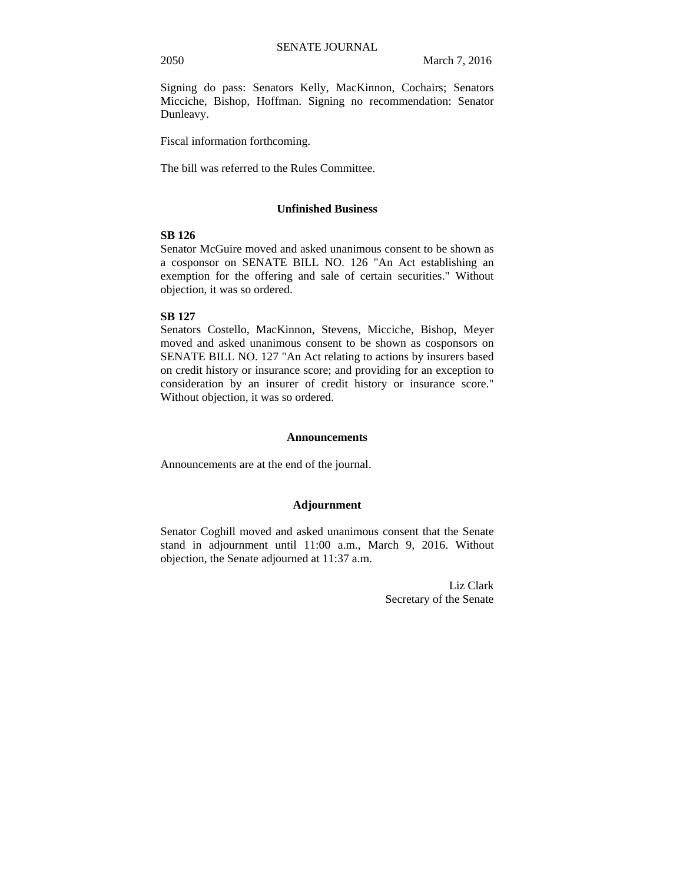Signing do pass: Senators Kelly, MacKinnon, Cochairs; Senators Micciche, Bishop, Hoffman. Signing no recommendation: Senator Dunleavy.

Fiscal information forthcoming.

The bill was referred to the Rules Committee.

## **Unfinished Business**

## **SB 126**

Senator McGuire moved and asked unanimous consent to be shown as a cosponsor on SENATE BILL NO. 126 "An Act establishing an exemption for the offering and sale of certain securities." Without objection, it was so ordered.

#### **SB 127**

Senators Costello, MacKinnon, Stevens, Micciche, Bishop, Meyer moved and asked unanimous consent to be shown as cosponsors on SENATE BILL NO. 127 "An Act relating to actions by insurers based on credit history or insurance score; and providing for an exception to consideration by an insurer of credit history or insurance score." Without objection, it was so ordered.

#### **Announcements**

Announcements are at the end of the journal.

## **Adjournment**

Senator Coghill moved and asked unanimous consent that the Senate stand in adjournment until 11:00 a.m., March 9, 2016. Without objection, the Senate adjourned at 11:37 a.m.

> Liz Clark Secretary of the Senate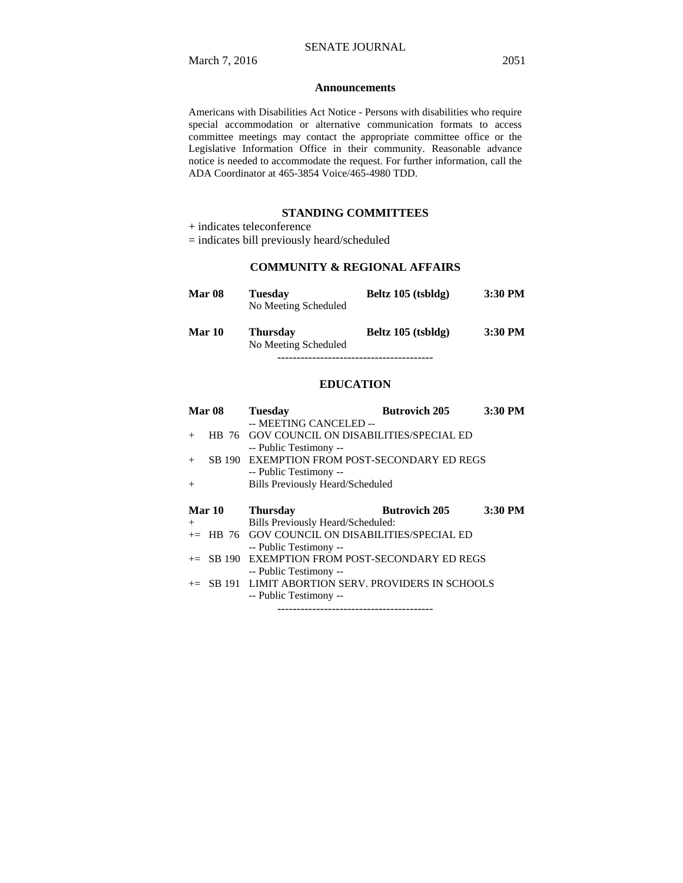#### **Announcements**

Americans with Disabilities Act Notice - Persons with disabilities who require special accommodation or alternative communication formats to access committee meetings may contact the appropriate committee office or the Legislative Information Office in their community. Reasonable advance notice is needed to accommodate the request. For further information, call the ADA Coordinator at 465-3854 Voice/465-4980 TDD.

## **STANDING COMMITTEES**

+ indicates teleconference

= indicates bill previously heard/scheduled

# **COMMUNITY & REGIONAL AFFAIRS**

| <b>Mar 08</b> | <b>Tuesday</b><br>No Meeting Scheduled  | Beltz 105 (tsbldg) | 3:30 PM   |
|---------------|-----------------------------------------|--------------------|-----------|
| Mar 10        | <b>Thursday</b><br>No Meeting Scheduled | Beltz 105 (tsbldg) | $3:30$ PM |
|               |                                         |                    |           |

## **EDUCATION**

|     | Mar <sub>08</sub> | <b>Tuesday</b>                                        | <b>Butrovich 205</b> | 3:30 PM |
|-----|-------------------|-------------------------------------------------------|----------------------|---------|
|     |                   | -- MEETING CANCELED --                                |                      |         |
| $+$ | HB 76             | <b>GOV COUNCIL ON DISABILITIES/SPECIAL ED</b>         |                      |         |
|     |                   | -- Public Testimony --                                |                      |         |
| $+$ |                   | SB 190 EXEMPTION FROM POST-SECONDARY ED REGS          |                      |         |
|     |                   | -- Public Testimony --                                |                      |         |
| $+$ |                   | <b>Bills Previously Heard/Scheduled</b>               |                      |         |
|     |                   |                                                       |                      |         |
|     |                   |                                                       |                      |         |
|     | Mar 10            | <b>Thursday</b>                                       | <b>Butrovich 205</b> | 3:30 PM |
| $+$ |                   | Bills Previously Heard/Scheduled:                     |                      |         |
|     |                   | $+=$ HB 76 GOV COUNCIL ON DISABILITIES/SPECIAL ED     |                      |         |
|     |                   | -- Public Testimony --                                |                      |         |
|     |                   | += SB 190 EXEMPTION FROM POST-SECONDARY ED REGS       |                      |         |
|     |                   | -- Public Testimony --                                |                      |         |
|     |                   | $+=$ SB 191 LIMIT ABORTION SERV. PROVIDERS IN SCHOOLS |                      |         |
|     |                   | -- Public Testimony --                                |                      |         |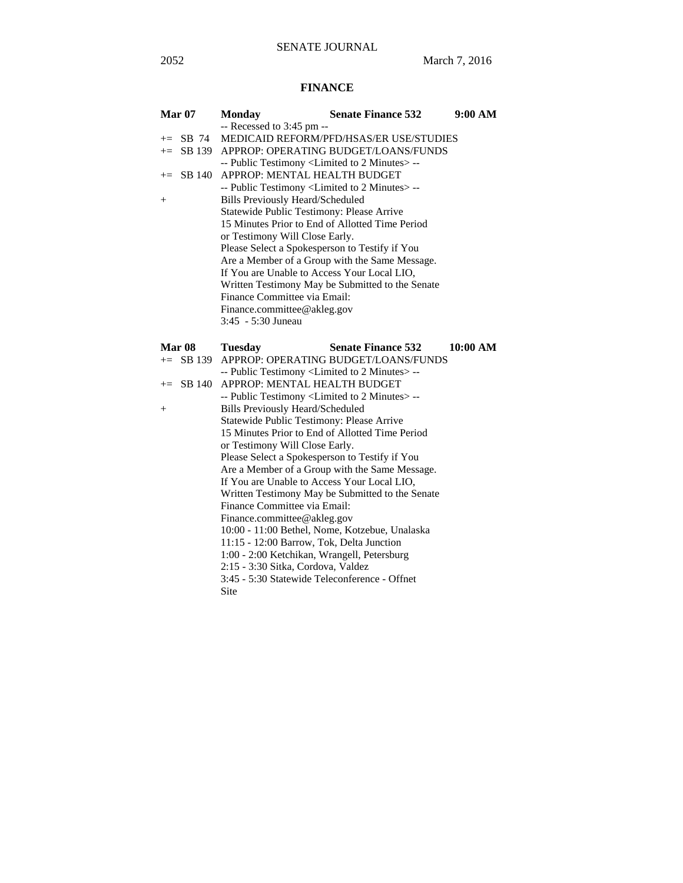# **FINANCE**

|        | <b>Mar 07</b> | <b>Monday</b>                                                    | <b>Senate Finance 532</b>                                         | 9:00 AM  |  |
|--------|---------------|------------------------------------------------------------------|-------------------------------------------------------------------|----------|--|
|        |               | -- Recessed to 3:45 pm --                                        |                                                                   |          |  |
|        | $+=$ SB 74    |                                                                  | MEDICAID REFORM/PFD/HSAS/ER USE/STUDIES                           |          |  |
|        | $\pm$ SB 139  |                                                                  | APPROP: OPERATING BUDGET/LOANS/FUNDS                              |          |  |
|        |               | -- Public Testimony <limited 2="" minutes="" to=""> --</limited> |                                                                   |          |  |
| $+=$   | SB 140        | APPROP: MENTAL HEALTH BUDGET                                     |                                                                   |          |  |
|        |               | -- Public Testimony <limited 2="" minutes="" to=""> --</limited> |                                                                   |          |  |
| $^{+}$ |               | <b>Bills Previously Heard/Scheduled</b>                          |                                                                   |          |  |
|        |               | Statewide Public Testimony: Please Arrive                        |                                                                   |          |  |
|        |               | 15 Minutes Prior to End of Allotted Time Period                  |                                                                   |          |  |
|        |               | or Testimony Will Close Early.                                   |                                                                   |          |  |
|        |               | Please Select a Spokesperson to Testify if You                   |                                                                   |          |  |
|        |               |                                                                  | Are a Member of a Group with the Same Message.                    |          |  |
|        |               | If You are Unable to Access Your Local LIO,                      |                                                                   |          |  |
|        |               |                                                                  | Written Testimony May be Submitted to the Senate                  |          |  |
|        |               | Finance Committee via Email:                                     |                                                                   |          |  |
|        |               | Finance.committee@akleg.gov                                      |                                                                   |          |  |
|        |               | 3:45 - 5:30 Juneau                                               |                                                                   |          |  |
|        |               |                                                                  |                                                                   |          |  |
|        | <b>Mar 08</b> | <b>Tuesday</b>                                                   | <b>Senate Finance 532</b><br>APPROP: OPERATING BUDGET/LOANS/FUNDS | 10:00 AM |  |
| $+=$   | SB 139        | -- Public Testimony <limited 2="" minutes="" to="">--</limited>  |                                                                   |          |  |
|        | SB 140        | APPROP: MENTAL HEALTH BUDGET                                     |                                                                   |          |  |
| $+=$   |               | -- Public Testimony <limited 2="" minutes="" to=""> --</limited> |                                                                   |          |  |
|        |               | <b>Bills Previously Heard/Scheduled</b>                          |                                                                   |          |  |
| $^{+}$ |               | Statewide Public Testimony: Please Arrive                        |                                                                   |          |  |
|        |               | 15 Minutes Prior to End of Allotted Time Period                  |                                                                   |          |  |
|        |               | or Testimony Will Close Early.                                   |                                                                   |          |  |
|        |               | Please Select a Spokesperson to Testify if You                   |                                                                   |          |  |
|        |               |                                                                  | Are a Member of a Group with the Same Message.                    |          |  |
|        |               | If You are Unable to Access Your Local LIO.                      |                                                                   |          |  |
|        |               |                                                                  | Written Testimony May be Submitted to the Senate                  |          |  |
|        |               | Finance Committee via Email:                                     |                                                                   |          |  |
|        |               | Finance.committee@akleg.gov                                      |                                                                   |          |  |
|        |               |                                                                  | 10:00 - 11:00 Bethel, Nome, Kotzebue, Unalaska                    |          |  |
|        |               | 11:15 - 12:00 Barrow, Tok, Delta Junction                        |                                                                   |          |  |
|        |               | 1:00 - 2:00 Ketchikan, Wrangell, Petersburg                      |                                                                   |          |  |
|        |               | 2:15 - 3:30 Sitka, Cordova, Valdez                               |                                                                   |          |  |
|        |               | 3:45 - 5:30 Statewide Teleconference - Offnet                    |                                                                   |          |  |
|        |               | Site                                                             |                                                                   |          |  |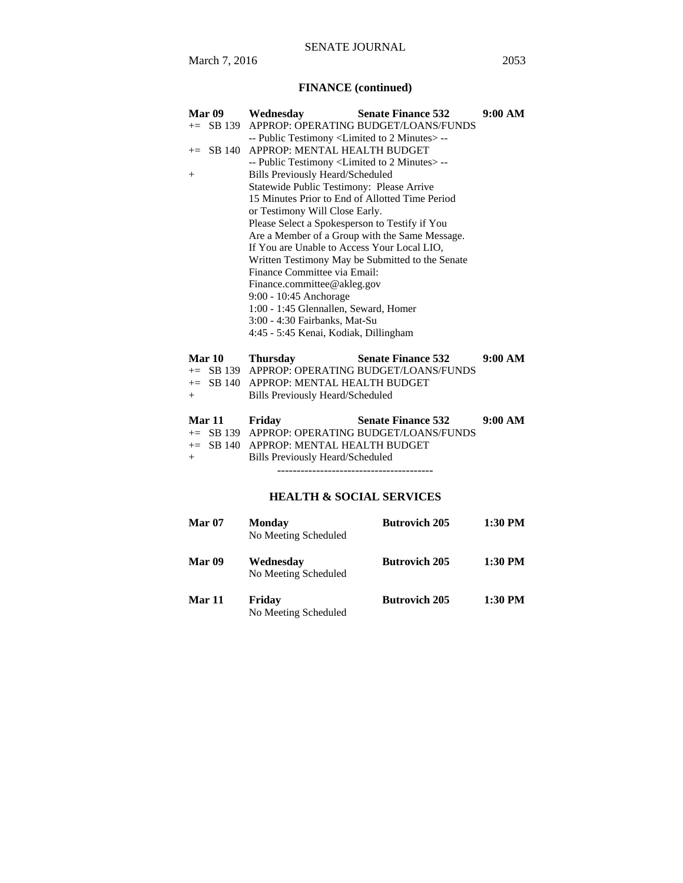# **FINANCE (continued)**

| Mar 09         | Wednesday                                                                                   | <b>Senate Finance 532</b>                        | 9:00 AM |  |  |
|----------------|---------------------------------------------------------------------------------------------|--------------------------------------------------|---------|--|--|
|                | += SB 139 APPROP: OPERATING BUDGET/LOANS/FUNDS                                              |                                                  |         |  |  |
|                | -- Public Testimony <limited 2="" minutes="" to=""> --</limited>                            |                                                  |         |  |  |
| SB 140<br>$+=$ | APPROP: MENTAL HEALTH BUDGET                                                                |                                                  |         |  |  |
|                | -- Public Testimony <limited 2="" minutes="" to=""> --</limited>                            |                                                  |         |  |  |
| $^{+}$         | <b>Bills Previously Heard/Scheduled</b>                                                     |                                                  |         |  |  |
|                | Statewide Public Testimony: Please Arrive                                                   |                                                  |         |  |  |
|                | 15 Minutes Prior to End of Allotted Time Period                                             |                                                  |         |  |  |
|                | or Testimony Will Close Early.                                                              |                                                  |         |  |  |
|                | Please Select a Spokesperson to Testify if You                                              |                                                  |         |  |  |
|                |                                                                                             | Are a Member of a Group with the Same Message.   |         |  |  |
|                | If You are Unable to Access Your Local LIO,                                                 |                                                  |         |  |  |
|                |                                                                                             | Written Testimony May be Submitted to the Senate |         |  |  |
|                | Finance Committee via Email:                                                                |                                                  |         |  |  |
|                | Finance.committee@akleg.gov                                                                 |                                                  |         |  |  |
|                | 9:00 - 10:45 Anchorage                                                                      |                                                  |         |  |  |
|                | 1:00 - 1:45 Glennallen, Seward, Homer                                                       |                                                  |         |  |  |
|                | 3:00 - 4:30 Fairbanks, Mat-Su                                                               |                                                  |         |  |  |
|                | 4:45 - 5:45 Kenai, Kodiak, Dillingham                                                       |                                                  |         |  |  |
| Mar 10         | <b>Thursday</b>                                                                             | <b>Senate Finance 532</b>                        | 9:00 AM |  |  |
| $+=$ SB 139    |                                                                                             | APPROP: OPERATING BUDGET/LOANS/FUNDS             |         |  |  |
| $+=$ SB 140    | APPROP: MENTAL HEALTH BUDGET                                                                |                                                  |         |  |  |
| $+$            | <b>Bills Previously Heard/Scheduled</b>                                                     |                                                  |         |  |  |
|                |                                                                                             |                                                  |         |  |  |
| <b>Mar 11</b>  | Friday                                                                                      | <b>Senate Finance 532</b>                        | 9:00 AM |  |  |
|                |                                                                                             | += SB 139 APPROP: OPERATING BUDGET/LOANS/FUNDS   |         |  |  |
| $+=$ SB 140    | APPROP: MENTAL HEALTH BUDGET                                                                |                                                  |         |  |  |
| $^{+}$         | <b>Bills Previously Heard/Scheduled</b>                                                     |                                                  |         |  |  |
|                |                                                                                             |                                                  |         |  |  |
|                | $\mathbf{r}$ my $\alpha$ $\alpha \alpha$ $\alpha \mathbf{r}$ $\mathbf{r}$ $\alpha$ $\alpha$ |                                                  |         |  |  |

# **HEALTH & SOCIAL SERVICES**

| <b>Mar 07</b> | Monday<br>No Meeting Scheduled    | <b>Butrovich 205</b> | $1:30$ PM |
|---------------|-----------------------------------|----------------------|-----------|
| Mar 09        | Wednesday<br>No Meeting Scheduled | <b>Butrovich 205</b> | $1:30$ PM |
| Mar 11        | Friday<br>No Meeting Scheduled    | <b>Butrovich 205</b> | $1:30$ PM |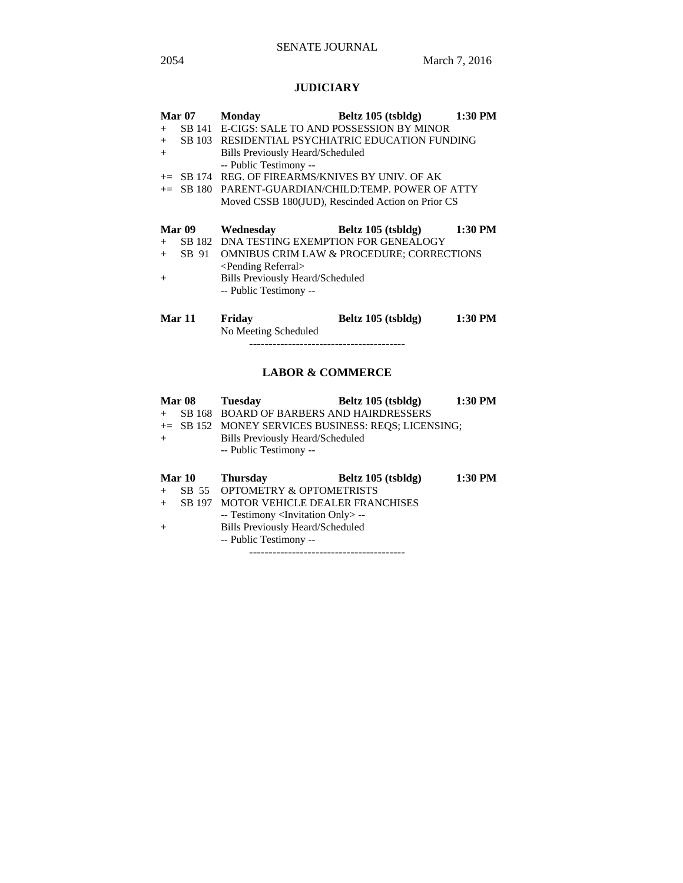# SENATE JOURNAL

# **JUDICIARY**

|     | <b>Mar 07</b> | <b>Monday</b>                                      | Beltz 105 (tsbldg)                                    | 1:30 PM |  |  |
|-----|---------------|----------------------------------------------------|-------------------------------------------------------|---------|--|--|
| $+$ |               |                                                    | SB 141 E-CIGS: SALE TO AND POSSESSION BY MINOR        |         |  |  |
| $+$ | SB 103        | RESIDENTIAL PSYCHIATRIC EDUCATION FUNDING          |                                                       |         |  |  |
| $+$ |               | Bills Previously Heard/Scheduled                   |                                                       |         |  |  |
|     |               | -- Public Testimony --                             |                                                       |         |  |  |
|     |               | $+=$ SB 174 REG. OF FIREARMS/KNIVES BY UNIV. OF AK |                                                       |         |  |  |
|     |               |                                                    | $+=$ SB 180 PARENT-GUARDIAN/CHILD:TEMP. POWER OF ATTY |         |  |  |
|     |               |                                                    | Moved CSSB 180(JUD), Rescinded Action on Prior CS     |         |  |  |
|     |               |                                                    |                                                       |         |  |  |
|     |               |                                                    |                                                       |         |  |  |
|     | Mar 09        | Wednesday                                          | Beltz 105 (tsbldg)                                    | 1:30 PM |  |  |
| $+$ |               | SB 182 DNA TESTING EXEMPTION FOR GENEALOGY         |                                                       |         |  |  |
| $+$ | SB 91         |                                                    | <b>OMNIBUS CRIM LAW &amp; PROCEDURE; CORRECTIONS</b>  |         |  |  |
|     |               | <pending referral=""></pending>                    |                                                       |         |  |  |
| $+$ |               | <b>Bills Previously Heard/Scheduled</b>            |                                                       |         |  |  |
|     |               | -- Public Testimony --                             |                                                       |         |  |  |
|     |               |                                                    |                                                       |         |  |  |

No Meeting Scheduled

----------------------------------------

# **LABOR & COMMERCE**

|        | <b>Mar 08</b> | <b>Tuesday</b>                                    | Beltz 105 (tsbldg)                                  | 1:30 PM   |
|--------|---------------|---------------------------------------------------|-----------------------------------------------------|-----------|
| $^{+}$ |               | SB 168 BOARD OF BARBERS AND HAIRDRESSERS          |                                                     |           |
|        |               |                                                   | += SB 152 MONEY SERVICES BUSINESS: REQS; LICENSING; |           |
| $+$    |               | Bills Previously Heard/Scheduled                  |                                                     |           |
|        |               | -- Public Testimony --                            |                                                     |           |
|        |               |                                                   |                                                     |           |
|        |               |                                                   |                                                     |           |
|        | <b>Mar 10</b> | <b>Thursday</b>                                   | Beltz 105 (tsbldg)                                  | $1:30$ PM |
| $+$    |               | SB 55 OPTOMETRY & OPTOMETRISTS                    |                                                     |           |
| $^{+}$ | SB 197        | MOTOR VEHICLE DEALER FRANCHISES                   |                                                     |           |
|        |               | -- Testimony <invitation only=""> --</invitation> |                                                     |           |
| $^{+}$ |               | <b>Bills Previously Heard/Scheduled</b>           |                                                     |           |
|        |               | -- Public Testimony --                            |                                                     |           |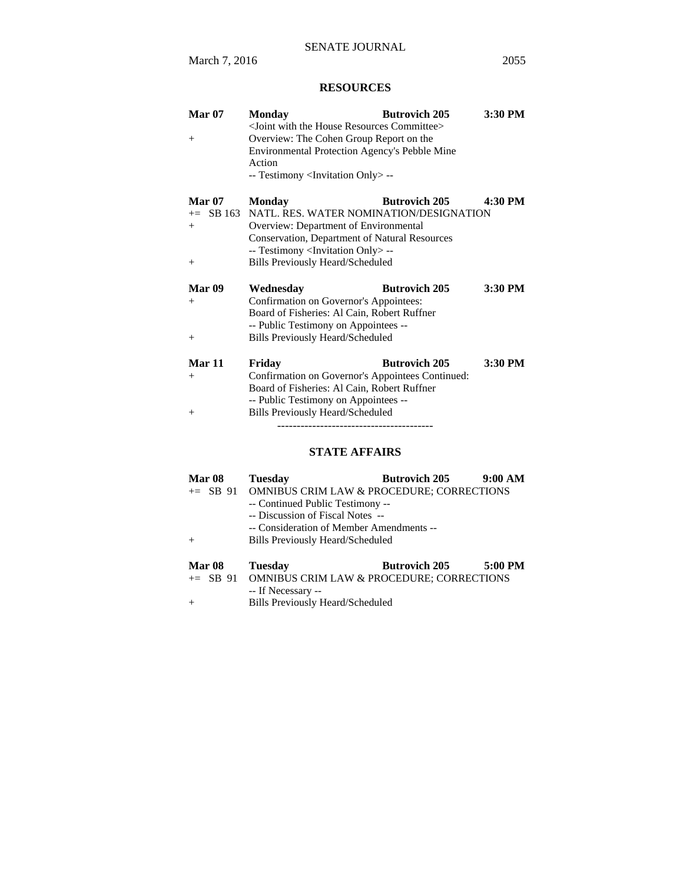# **RESOURCES**

| <b>Mar 07</b>     | <b>Monday</b>                                                     | <b>Butrovich 205</b> | 3:30 PM |
|-------------------|-------------------------------------------------------------------|----------------------|---------|
|                   | <joint committee="" house="" resources="" the="" with=""></joint> |                      |         |
| $^{+}$            | Overview: The Cohen Group Report on the                           |                      |         |
|                   | Environmental Protection Agency's Pebble Mine                     |                      |         |
|                   | Action                                                            |                      |         |
|                   | -- Testimony <invitation only=""> --</invitation>                 |                      |         |
| <b>Mar 07</b>     | <b>Monday</b>                                                     | <b>Butrovich 205</b> | 4:30 PM |
| $+=$ SB 163       | NATL. RES. WATER NOMINATION/DESIGNATION                           |                      |         |
| $+$               | Overview: Department of Environmental                             |                      |         |
|                   | <b>Conservation, Department of Natural Resources</b>              |                      |         |
|                   | -- Testimony <invitation only=""> --</invitation>                 |                      |         |
| $+$               | <b>Bills Previously Heard/Scheduled</b>                           |                      |         |
|                   |                                                                   |                      |         |
| Mar <sub>09</sub> | Wednesday                                                         | <b>Butrovich 205</b> | 3:30 PM |
| $+$               | Confirmation on Governor's Appointees:                            |                      |         |
|                   | Board of Fisheries: Al Cain, Robert Ruffner                       |                      |         |
|                   | -- Public Testimony on Appointees --                              |                      |         |
| $^{+}$            | Bills Previously Heard/Scheduled                                  |                      |         |
|                   |                                                                   |                      |         |
| <b>Mar 11</b>     | Friday                                                            | <b>Butrovich 205</b> | 3:30 PM |
| $+$               | Confirmation on Governor's Appointees Continued:                  |                      |         |
|                   | Board of Fisheries: Al Cain, Robert Ruffner                       |                      |         |
|                   | -- Public Testimony on Appointees --                              |                      |         |
| $+$               | <b>Bills Previously Heard/Scheduled</b>                           |                      |         |
|                   |                                                                   |                      |         |
|                   |                                                                   |                      |         |

# **STATE AFFAIRS**

| Mar <sub>08</sub>           | <b>Tuesday</b>                                                                                           | <b>Butrovich 205</b>                                                                           | 9:00 AM |  |
|-----------------------------|----------------------------------------------------------------------------------------------------------|------------------------------------------------------------------------------------------------|---------|--|
| $+$                         | -- Continued Public Testimony --<br>-- Discussion of Fiscal Notes --<br>Bills Previously Heard/Scheduled | += SB 91 OMNIBUS CRIM LAW & PROCEDURE; CORRECTIONS<br>-- Consideration of Member Amendments -- |         |  |
| <b>Mar 08</b><br>$+=$ SB 91 | <b>Tuesday</b><br><b>OMNIBUS CRIM LAW &amp; PROCEDURE; CORRECTIONS</b>                                   | <b>Butrovich 205</b>                                                                           | 5:00 PM |  |

-- If Necessary --

+ Bills Previously Heard/Scheduled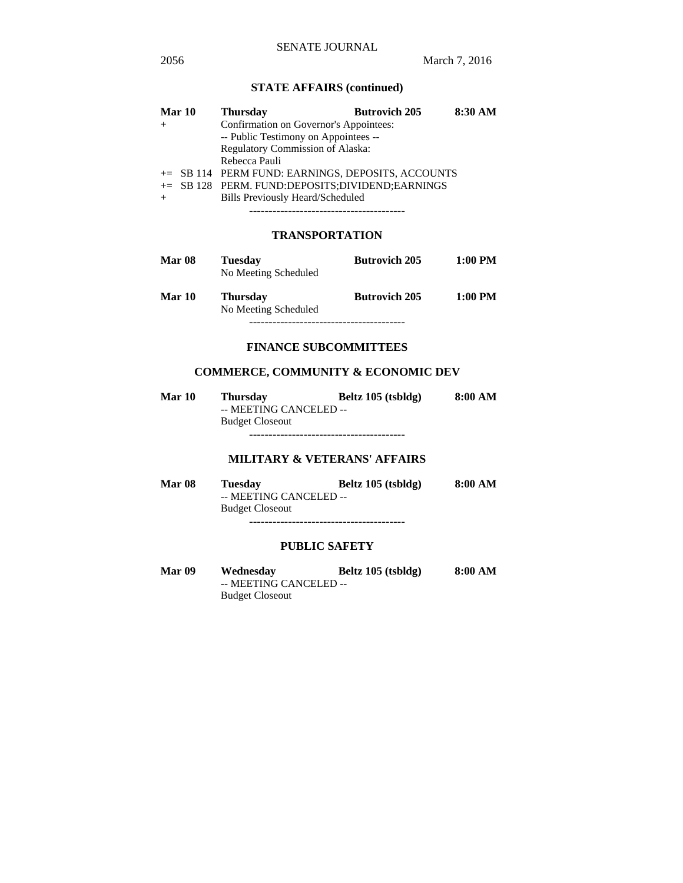# **STATE AFFAIRS (continued)**

| Mar 10 | <b>Thursday</b>                                   | <b>Butrovich 205</b> | 8:30 AM |
|--------|---------------------------------------------------|----------------------|---------|
|        | Confirmation on Governor's Appointees:            |                      |         |
|        | -- Public Testimony on Appointees --              |                      |         |
|        | Regulatory Commission of Alaska:                  |                      |         |
|        | Rebecca Pauli                                     |                      |         |
|        | += SB 114 PERM FUND: EARNINGS, DEPOSITS, ACCOUNTS |                      |         |
|        | += SB 128 PERM. FUND:DEPOSITS;DIVIDEND;EARNINGS   |                      |         |
| $^{+}$ | <b>Bills Previously Heard/Scheduled</b>           |                      |         |
|        |                                                   |                      |         |

----------------------------------------

## **TRANSPORTATION**

| <b>Mar 08</b> | <b>Tuesday</b><br>No Meeting Scheduled  | <b>Butrovich 205</b> | 1:00 PM   |
|---------------|-----------------------------------------|----------------------|-----------|
| <b>Mar 10</b> | <b>Thursday</b><br>No Meeting Scheduled | <b>Butrovich 205</b> | $1:00$ PM |

----------------------------------------

## **FINANCE SUBCOMMITTEES**

# **COMMERCE, COMMUNITY & ECONOMIC DEV**

| Mar 10 | <b>Thursday</b>        | Beltz 105 (tsbldg) | 8:00 AM |
|--------|------------------------|--------------------|---------|
|        | -- MEETING CANCELED -- |                    |         |
|        | <b>Budget Closeout</b> |                    |         |
|        |                        |                    |         |

# **MILITARY & VETERANS' AFFAIRS**

| <b>Mar 08</b> | <b>Tuesday</b>         | Beltz 105 (tsbldg) | 8:00 AM |
|---------------|------------------------|--------------------|---------|
|               | -- MEETING CANCELED -- |                    |         |
|               | <b>Budget Closeout</b> |                    |         |
|               |                        |                    |         |

**PUBLIC SAFETY**

| <b>Mar 09</b> | Wednesday              | Beltz 105 (tsbldg) | 8:00 AM |
|---------------|------------------------|--------------------|---------|
|               | -- MEETING CANCELED -- |                    |         |
|               | <b>Budget Closeout</b> |                    |         |